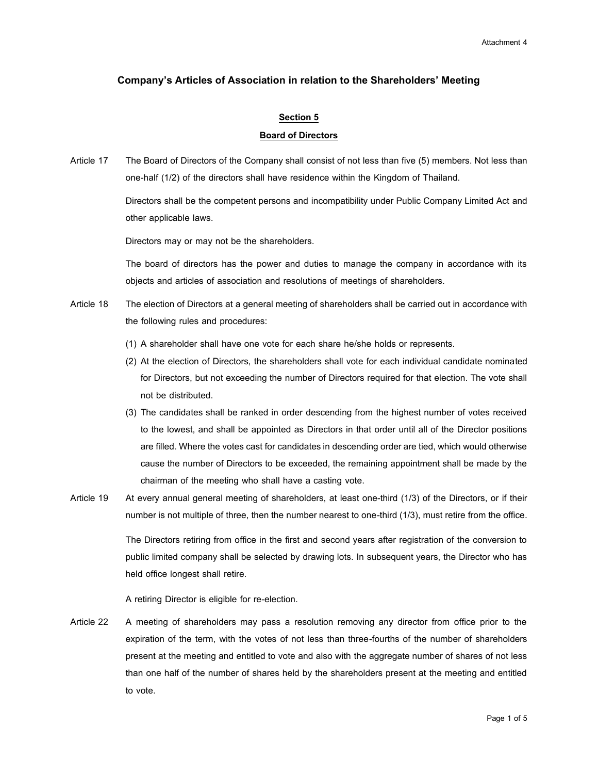# **Company's Articles of Association in relation to the Shareholders' Meeting**

# **Section 5**

# **Board of Directors**

Article 17 The Board of Directors of the Company shall consist of not less than five (5) members. Not less than one-half (1/2) of the directors shall have residence within the Kingdom of Thailand.

> Directors shall be the competent persons and incompatibility under Public Company Limited Act and other applicable laws.

Directors may or may not be the shareholders.

The board of directors has the power and duties to manage the company in accordance with its objects and articles of association and resolutions of meetings of shareholders.

- Article 18 The election of Directors at a general meeting of shareholders shall be carried out in accordance with the following rules and procedures:
	- (1) A shareholder shall have one vote for each share he/she holds or represents.
	- (2) At the election of Directors, the shareholders shall vote for each individual candidate nominated for Directors, but not exceeding the number of Directors required for that election. The vote shall not be distributed.
	- (3) The candidates shall be ranked in order descending from the highest number of votes received to the lowest, and shall be appointed as Directors in that order until all of the Director positions are filled. Where the votes cast for candidates in descending order are tied, which would otherwise cause the number of Directors to be exceeded, the remaining appointment shall be made by the chairman of the meeting who shall have a casting vote.
- Article 19 At every annual general meeting of shareholders, at least one-third (1/3) of the Directors, or if their number is not multiple of three, then the number nearest to one-third (1/3), must retire from the office.

The Directors retiring from office in the first and second years after registration of the conversion to public limited company shall be selected by drawing lots. In subsequent years, the Director who has held office longest shall retire.

A retiring Director is eligible for re-election.

Article 22 A meeting of shareholders may pass a resolution removing any director from office prior to the expiration of the term, with the votes of not less than three-fourths of the number of shareholders present at the meeting and entitled to vote and also with the aggregate number of shares of not less than one half of the number of shares held by the shareholders present at the meeting and entitled to vote.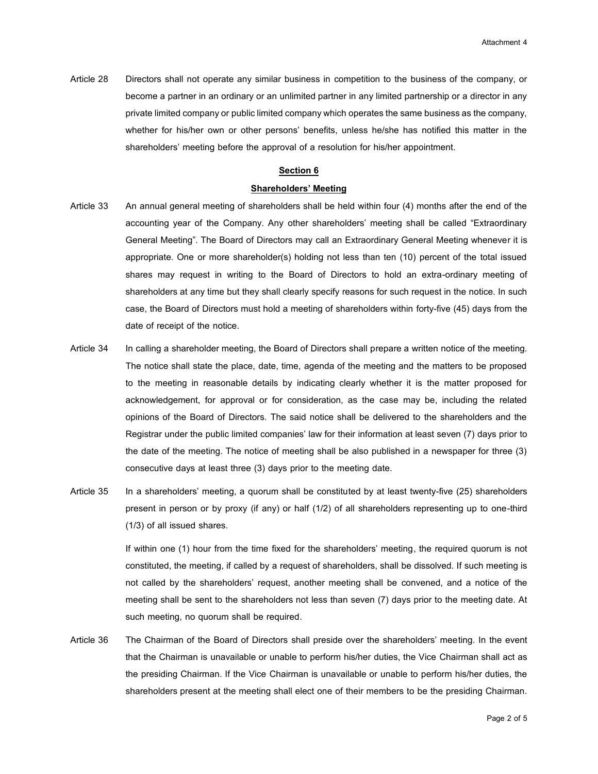Article 28 Directors shall not operate any similar business in competition to the business of the company, or become a partner in an ordinary or an unlimited partner in any limited partnership or a director in any private limited company or public limited company which operates the same business as the company, whether for his/her own or other persons' benefits, unless he/she has notified this matter in the shareholders' meeting before the approval of a resolution for his/her appointment.

# **Section 6**

#### **Shareholders' Meeting**

- Article 33 An annual general meeting of shareholders shall be held within four (4) months after the end of the accounting year of the Company. Any other shareholders' meeting shall be called "Extraordinary General Meeting". The Board of Directors may call an Extraordinary General Meeting whenever it is appropriate. One or more shareholder(s) holding not less than ten (10) percent of the total issued shares may request in writing to the Board of Directors to hold an extra-ordinary meeting of shareholders at any time but they shall clearly specify reasons for such request in the notice. In such case, the Board of Directors must hold a meeting of shareholders within forty-five (45) days from the date of receipt of the notice.
- Article 34 In calling a shareholder meeting, the Board of Directors shall prepare a written notice of the meeting. The notice shall state the place, date, time, agenda of the meeting and the matters to be proposed to the meeting in reasonable details by indicating clearly whether it is the matter proposed for acknowledgement, for approval or for consideration, as the case may be, including the related opinions of the Board of Directors. The said notice shall be delivered to the shareholders and the Registrar under the public limited companies' law for their information at least seven (7) days prior to the date of the meeting. The notice of meeting shall be also published in a newspaper for three (3) consecutive days at least three (3) days prior to the meeting date.
- Article 35 In a shareholders' meeting, a quorum shall be constituted by at least twenty-five (25) shareholders present in person or by proxy (if any) or half (1/2) of all shareholders representing up to one-third (1/3) of all issued shares.

If within one (1) hour from the time fixed for the shareholders' meeting, the required quorum is not constituted, the meeting, if called by a request of shareholders, shall be dissolved. If such meeting is not called by the shareholders' request, another meeting shall be convened, and a notice of the meeting shall be sent to the shareholders not less than seven (7) days prior to the meeting date. At such meeting, no quorum shall be required.

Article 36 The Chairman of the Board of Directors shall preside over the shareholders' meeting. In the event that the Chairman is unavailable or unable to perform his/her duties, the Vice Chairman shall act as the presiding Chairman. If the Vice Chairman is unavailable or unable to perform his/her duties, the shareholders present at the meeting shall elect one of their members to be the presiding Chairman.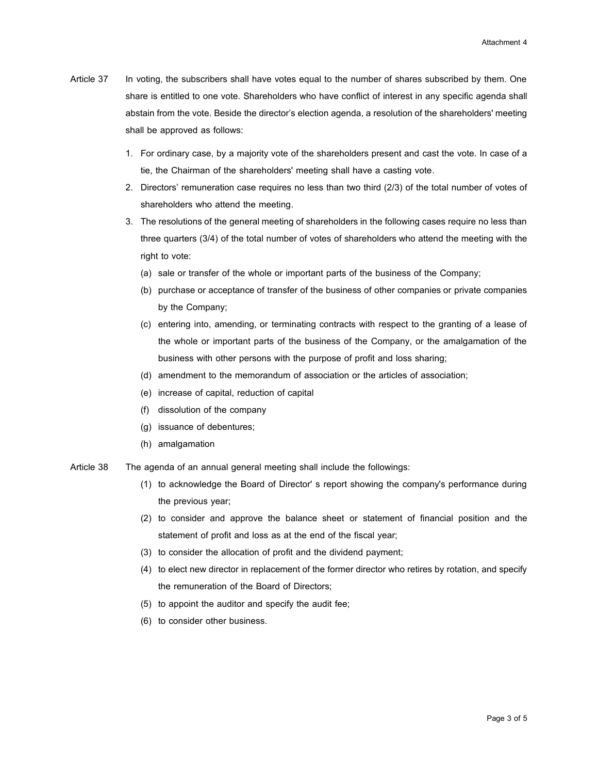- Article 37 In voting, the subscribers shall have votes equal to the number of shares subscribed by them. One share is entitled to one vote. Shareholders who have conflict of interest in any specific agenda shall abstain from the vote. Beside the director's election agenda, a resolution of the shareholders' meeting shall be approved as follows:
	- 1. For ordinary case, by a majority vote of the shareholders present and cast the vote. In case of a tie, the Chairman of the shareholders' meeting shall have a casting vote.
	- 2. Directors' remuneration case requires no less than two third (2/3) of the total number of votes of shareholders who attend the meeting.
	- 3. The resolutions of the general meeting of shareholders in the following cases require no less than three quarters (3/4) of the total number of votes of shareholders who attend the meeting with the right to vote:
		- (a) sale or transfer of the whole or important parts of the business of the Company;
		- (b) purchase or acceptance of transfer of the business of other companies or private companies by the Company;
		- (c) entering into, amending, or terminating contracts with respect to the granting of a lease of the whole or important parts of the business of the Company, or the amalgamation of the business with other persons with the purpose of profit and loss sharing;
		- (d) amendment to the memorandum of association or the articles of association;
		- (e) increase of capital, reduction of capital
		- (f) dissolution of the company
		- (g) issuance of debentures;
		- (h) amalgamation
- Article 38 The agenda of an annual general meeting shall include the followings:
	- (1) to acknowledge the Board of Director' s report showing the company's performance during the previous year;
	- (2) to consider and approve the balance sheet or statement of financial position and the statement of profit and loss as at the end of the fiscal year;
	- (3) to consider the allocation of profit and the dividend payment;
	- (4) to elect new director in replacement of the former director who retires by rotation, and specify the remuneration of the Board of Directors;
	- (5) to appoint the auditor and specify the audit fee;
	- (6) to consider other business.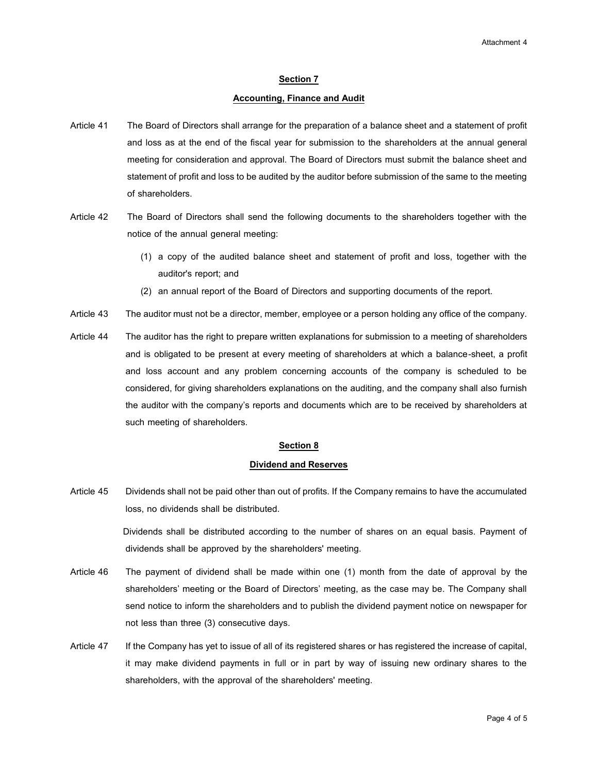### **Section 7**

#### **Accounting, Finance and Audit**

- Article 41 The Board of Directors shall arrange for the preparation of a balance sheet and a statement of profit and loss as at the end of the fiscal year for submission to the shareholders at the annual general meeting for consideration and approval. The Board of Directors must submit the balance sheet and statement of profit and loss to be audited by the auditor before submission of the same to the meeting of shareholders.
- Article 42 The Board of Directors shall send the following documents to the shareholders together with the notice of the annual general meeting:
	- (1) a copy of the audited balance sheet and statement of profit and loss, together with the auditor's report; and
	- (2) an annual report of the Board of Directors and supporting documents of the report.
- Article 43 The auditor must not be a director, member, employee or a person holding any office of the company.
- Article 44 The auditor has the right to prepare written explanations for submission to a meeting of shareholders and is obligated to be present at every meeting of shareholders at which a balance-sheet, a profit and loss account and any problem concerning accounts of the company is scheduled to be considered, for giving shareholders explanations on the auditing, and the company shall also furnish the auditor with the company's reports and documents which are to be received by shareholders at such meeting of shareholders.

#### **Section 8**

#### **Dividend and Reserves**

Article 45 Dividends shall not be paid other than out of profits. If the Company remains to have the accumulated loss, no dividends shall be distributed.

> Dividends shall be distributed according to the number of shares on an equal basis. Payment of dividends shall be approved by the shareholders' meeting.

- Article 46 The payment of dividend shall be made within one (1) month from the date of approval by the shareholders' meeting or the Board of Directors' meeting, as the case may be. The Company shall send notice to inform the shareholders and to publish the dividend payment notice on newspaper for not less than three (3) consecutive days.
- Article 47 If the Company has yet to issue of all of its registered shares or has registered the increase of capital, it may make dividend payments in full or in part by way of issuing new ordinary shares to the shareholders, with the approval of the shareholders' meeting.